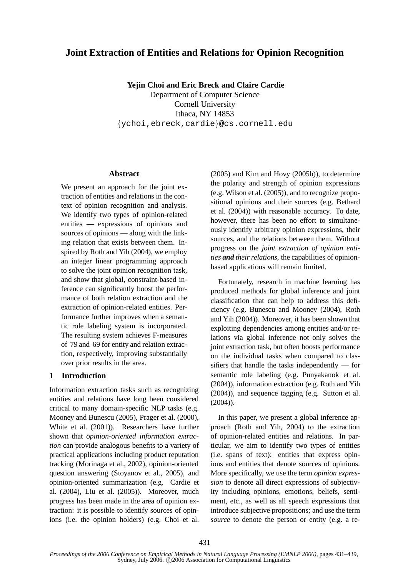# **Joint Extraction of Entities and Relations for Opinion Recognition**

**Yejin Choi and Eric Breck and Claire Cardie** Department of Computer Science Cornell University Ithaca, NY 14853 {ychoi,ebreck,cardie}@cs.cornell.edu

### **Abstract**

We present an approach for the joint extraction of entities and relations in the context of opinion recognition and analysis. We identify two types of opinion-related entities — expressions of opinions and sources of opinions — along with the linking relation that exists between them. Inspired by Roth and Yih (2004), we employ an integer linear programming approach to solve the joint opinion recognition task, and show that global, constraint-based inference can significantly boost the performance of both relation extraction and the extraction of opinion-related entities. Performance further improves when a semantic role labeling system is incorporated. The resulting system achieves F-measures of 79 and 69 for entity and relation extraction, respectively, improving substantially over prior results in the area.

### **1 Introduction**

Information extraction tasks such as recognizing entities and relations have long been considered critical to many domain-specific NLP tasks (e.g. Mooney and Bunescu (2005), Prager et al. (2000), White et al. (2001)). Researchers have further shown that *opinion-oriented information extraction* can provide analogous benefits to a variety of practical applications including product reputation tracking (Morinaga et al., 2002), opinion-oriented question answering (Stoyanov et al., 2005), and opinion-oriented summarization (e.g. Cardie et al. (2004), Liu et al. (2005)). Moreover, much progress has been made in the area of opinion extraction: it is possible to identify sources of opinions (i.e. the opinion holders) (e.g. Choi et al.

(2005) and Kim and Hovy (2005b)), to determine the polarity and strength of opinion expressions (e.g. Wilson et al. (2005)), and to recognize propositional opinions and their sources (e.g. Bethard et al. (2004)) with reasonable accuracy. To date, however, there has been no effort to simultaneously identify arbitrary opinion expressions, their sources, and the relations between them. Without progress on the *joint extraction of opinion entities and their relations*, the capabilities of opinionbased applications will remain limited.

Fortunately, research in machine learning has produced methods for global inference and joint classification that can help to address this deficiency (e.g. Bunescu and Mooney (2004), Roth and Yih (2004)). Moreover, it has been shown that exploiting dependencies among entities and/or relations via global inference not only solves the joint extraction task, but often boosts performance on the individual tasks when compared to classifiers that handle the tasks independently — for semantic role labeling (e.g. Punyakanok et al. (2004)), information extraction (e.g. Roth and Yih (2004)), and sequence tagging (e.g. Sutton et al. (2004)).

In this paper, we present a global inference approach (Roth and Yih, 2004) to the extraction of opinion-related entities and relations. In particular, we aim to identify two types of entities (i.e. spans of text): entities that express opinions and entities that denote sources of opinions. More specifically, we use the term *opinion expression* to denote all direct expressions of subjectivity including opinions, emotions, beliefs, sentiment, etc., as well as all speech expressions that introduce subjective propositions; and use the term *source* to denote the person or entity (e.g. a re-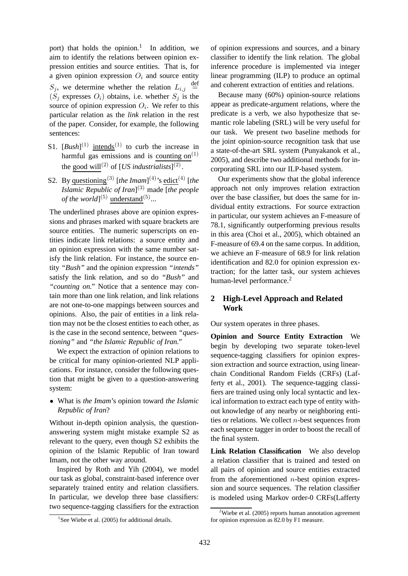port) that holds the opinion.<sup>1</sup> In addition, we aim to identify the relations between opinion expression entities and source entities. That is, for a given opinion expression  $O_i$  and source entity  $S_j$ , we determine whether the relation  $L_{i,j} \stackrel{\text{def}}{=}$  $(S_i$  expresses  $O_i$ ) obtains, i.e. whether  $S_i$  is the source of opinion expression  $O_i$ . We refer to this particular relation as the *link* relation in the rest of the paper. Consider, for example, the following sentences:

- S1.  $[Bush]^{(1)}$  intends<sup>(1)</sup> to curb the increase in harmful gas emissions and is counting on $^{(1)}$ the good will<sup>(2)</sup> of [*US industrialists*]<sup>(2)</sup>.
- S2. By questioning<sup>(3)</sup> [the Imam]<sup>(4)</sup>'s edict<sup>(4)</sup> [the *Islamic Republic of Iran*] (3) made [*the people of the world*]<sup>(5)</sup> understand<sup>(5)</sup>...

The underlined phrases above are opinion expressions and phrases marked with square brackets are source entities. The numeric superscripts on entities indicate link relations: a source entity and an opinion expression with the same number satisfy the link relation. For instance, the source entity *"Bush"* and the opinion expression *"intends"* satisfy the link relation, and so do *"Bush"* and *"counting on."* Notice that a sentence may contain more than one link relation, and link relations are not one-to-one mappings between sources and opinions. Also, the pair of entities in a link relation may not be the closest entities to each other, as is the case in the second sentence, between *"questioning"* and *"the Islamic Republic of Iran."*

We expect the extraction of opinion relations to be critical for many opinion-oriented NLP applications. For instance, consider the following question that might be given to a question-answering system:

• What is *the Imam*'s opinion toward *the Islamic Republic of Iran*?

Without in-depth opinion analysis, the questionanswering system might mistake example S2 as relevant to the query, even though S2 exhibits the opinion of the Islamic Republic of Iran toward Imam, not the other way around.

Inspired by Roth and Yih (2004), we model our task as global, constraint-based inference over separately trained entity and relation classifiers. In particular, we develop three base classifiers: two sequence-tagging classifiers for the extraction of opinion expressions and sources, and a binary classifier to identify the link relation. The global inference procedure is implemented via integer linear programming (ILP) to produce an optimal and coherent extraction of entities and relations.

Because many (60%) opinion-source relations appear as predicate-argument relations, where the predicate is a verb, we also hypothesize that semantic role labeling (SRL) will be very useful for our task. We present two baseline methods for the joint opinion-source recognition task that use a state-of-the-art SRL system (Punyakanok et al., 2005), and describe two additional methods for incorporating SRL into our ILP-based system.

Our experiments show that the global inference approach not only improves relation extraction over the base classifier, but does the same for individual entity extractions. For source extraction in particular, our system achieves an F-measure of 78.1, significantly outperforming previous results in this area (Choi et al., 2005), which obtained an F-measure of 69.4 on the same corpus. In addition, we achieve an F-measure of 68.9 for link relation identification and 82.0 for opinion expression extraction; for the latter task, our system achieves human-level performance.<sup>2</sup>

# **2 High-Level Approach and Related Work**

Our system operates in three phases.

**Opinion and Source Entity Extraction** We begin by developing two separate token-level sequence-tagging classifiers for opinion expression extraction and source extraction, using linearchain Conditional Random Fields (CRFs) (Lafferty et al., 2001). The sequence-tagging classifiers are trained using only local syntactic and lexical information to extract each type of entity without knowledge of any nearby or neighboring entities or relations. We collect  $n$ -best sequences from each sequence tagger in order to boost the recall of the final system.

**Link Relation Classification** We also develop a relation classifier that is trained and tested on all pairs of opinion and source entities extracted from the aforementioned  $n$ -best opinion expression and source sequences. The relation classifier is modeled using Markov order-0 CRFs(Lafferty

<sup>&</sup>lt;sup>1</sup>See Wiebe et al. (2005) for additional details.

<sup>&</sup>lt;sup>2</sup>Wiebe et al. (2005) reports human annotation agreement for opinion expression as 82.0 by F1 measure.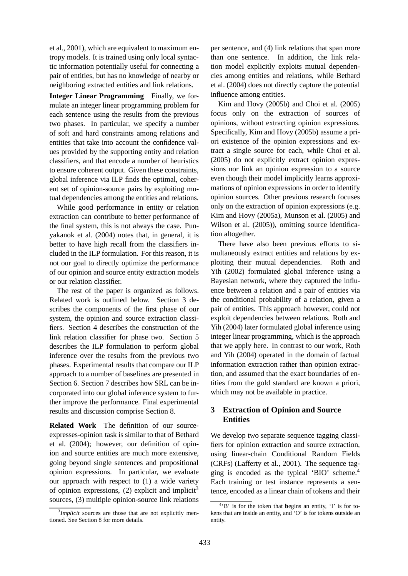et al., 2001), which are equivalent to maximum entropy models. It is trained using only local syntactic information potentially useful for connecting a pair of entities, but has no knowledge of nearby or neighboring extracted entities and link relations.

**Integer Linear Programming** Finally, we formulate an integer linear programming problem for each sentence using the results from the previous two phases. In particular, we specify a number of soft and hard constraints among relations and entities that take into account the confidence values provided by the supporting entity and relation classifiers, and that encode a number of heuristics to ensure coherent output. Given these constraints, global inference via ILP finds the optimal, coherent set of opinion-source pairs by exploiting mutual dependencies among the entities and relations.

While good performance in entity or relation extraction can contribute to better performance of the final system, this is not always the case. Punyakanok et al. (2004) notes that, in general, it is better to have high recall from the classifiers included in the ILP formulation. For this reason, it is not our goal to directly optimize the performance of our opinion and source entity extraction models or our relation classifier.

The rest of the paper is organized as follows. Related work is outlined below. Section 3 describes the components of the first phase of our system, the opinion and source extraction classifiers. Section 4 describes the construction of the link relation classifier for phase two. Section 5 describes the ILP formulation to perform global inference over the results from the previous two phases. Experimental results that compare our ILP approach to a number of baselines are presented in Section 6. Section 7 describes how SRL can be incorporated into our global inference system to further improve the performance. Final experimental results and discussion comprise Section 8.

**Related Work** The definition of our sourceexpresses-opinion task is similar to that of Bethard et al. (2004); however, our definition of opinion and source entities are much more extensive, going beyond single sentences and propositional opinion expressions. In particular, we evaluate our approach with respect to (1) a wide variety of opinion expressions,  $(2)$  explicit and implicit<sup>3</sup> sources, (3) multiple opinion-source link relations per sentence, and (4) link relations that span more than one sentence. In addition, the link relation model explicitly exploits mutual dependencies among entities and relations, while Bethard et al. (2004) does not directly capture the potential influence among entities.

Kim and Hovy (2005b) and Choi et al. (2005) focus only on the extraction of sources of opinions, without extracting opinion expressions. Specifically, Kim and Hovy (2005b) assume a priori existence of the opinion expressions and extract a single source for each, while Choi et al. (2005) do not explicitly extract opinion expressions nor link an opinion expression to a source even though their model implicitly learns approximations of opinion expressions in order to identify opinion sources. Other previous research focuses only on the extraction of opinion expressions (e.g. Kim and Hovy (2005a), Munson et al. (2005) and Wilson et al. (2005)), omitting source identification altogether.

There have also been previous efforts to simultaneously extract entities and relations by exploiting their mutual dependencies. Roth and Yih (2002) formulated global inference using a Bayesian network, where they captured the influence between a relation and a pair of entities via the conditional probability of a relation, given a pair of entities. This approach however, could not exploit dependencies between relations. Roth and Yih (2004) later formulated global inference using integer linear programming, which is the approach that we apply here. In contrast to our work, Roth and Yih (2004) operated in the domain of factual information extraction rather than opinion extraction, and assumed that the exact boundaries of entities from the gold standard are known a priori, which may not be available in practice.

# **3 Extraction of Opinion and Source Entities**

We develop two separate sequence tagging classifiers for opinion extraction and source extraction, using linear-chain Conditional Random Fields (CRFs) (Lafferty et al., 2001). The sequence tagging is encoded as the typical 'BIO' scheme.<sup>4</sup> Each training or test instance represents a sentence, encoded as a linear chain of tokens and their

<sup>&</sup>lt;sup>3</sup>*Implicit* sources are those that are not explicitly mentioned. See Section 8 for more details.

<sup>4</sup> 'B' is for the token that **b**egins an entity, 'I' is for tokens that are **i**nside an entity, and 'O' is for tokens **o**utside an entity.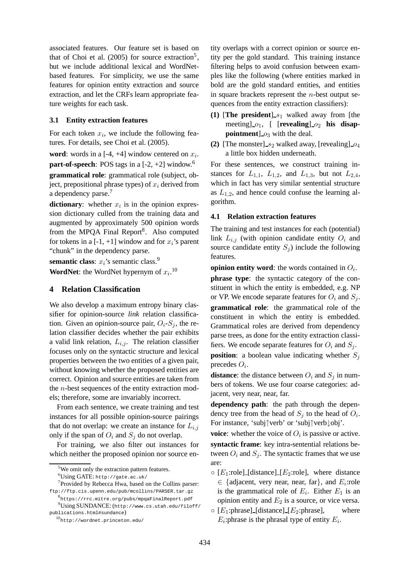associated features. Our feature set is based on that of Choi et al.  $(2005)$  for source extraction<sup>5</sup>, but we include additional lexical and WordNetbased features. For simplicity, we use the same features for opinion entity extraction and source extraction, and let the CRFs learn appropriate feature weights for each task.

### **3.1 Entity extraction features**

For each token  $x_i$ , we include the following features. For details, see Choi et al. (2005).

**word**: words in a  $[-4, +4]$  window centered on  $x_i$ . **part-of-speech**: POS tags in a  $[-2, +2]$  window.<sup>6</sup> **grammatical role**: grammatical role (subject, object, prepositional phrase types) of  $x_i$  derived from a dependency parse.<sup>7</sup>

**dictionary**: whether  $x_i$  is in the opinion expression dictionary culled from the training data and augmented by approximately 500 opinion words from the MPQA Final Report<sup>8</sup>. Also computed for tokens in a  $[-1, +1]$  window and for  $x_i$ 's parent "chunk" in the dependency parse.

**semantic class**:  $x_i$ 's semantic class.<sup>9</sup>

**WordNet**: the WordNet hypernym of  $x_i$ .<sup>10</sup>

## **4 Relation Classification**

We also develop a maximum entropy binary classifier for opinion-source *link* relation classification. Given an opinion-source pair,  $O_i-S_j$ , the relation classifier decides whether the pair exhibits a valid link relation,  $L_{i,j}$ . The relation classifier focuses only on the syntactic structure and lexical properties between the two entities of a given pair, without knowing whether the proposed entities are correct. Opinion and source entities are taken from the  $n$ -best sequences of the entity extraction models; therefore, some are invariably incorrect.

From each sentence, we create training and test instances for all possible opinion-source pairings that do not overlap: we create an instance for  $L_{i,j}$ only if the span of  $O_i$  and  $S_j$  do not overlap.

For training, we also filter out instances for which neither the proposed opinion nor source en-

8 https://rrc.mitre.org/pubs/mpqaFinalReport.pdf

tity overlaps with a correct opinion or source entity per the gold standard. This training instance filtering helps to avoid confusion between examples like the following (where entities marked in bold are the gold standard entities, and entities in square brackets represent the  $n$ -best output sequences from the entity extraction classifiers):

- **(1)** [The president]  $s_1$  walked away from [the meeting  $\begin{bmatrix} 0_1 \\ 0_2 \end{bmatrix}$  [**revealing**  $\begin{bmatrix} 0_2 \\ 0_2 \end{bmatrix}$  his disap**pointment**]  $o_3$  with the deal.
- **(2)** [The monster]  $s_2$  walked away, [revealing]  $o_4$ a little box hidden underneath.

For these sentences, we construct training instances for  $L_{1,1}$ ,  $L_{1,2}$ , and  $L_{1,3}$ , but not  $L_{2,4}$ , which in fact has very similar sentential structure as  $L_{1,2}$ , and hence could confuse the learning algorithm.

#### **4.1 Relation extraction features**

The training and test instances for each (potential) link  $L_{i,j}$  (with opinion candidate entity  $O_i$  and source candidate entity  $S_i$ ) include the following features.

**opinion entity word**: the words contained in  $O_i$ .

**phrase type**: the syntactic category of the constituent in which the entity is embedded, e.g. NP or VP. We encode separate features for  $O_i$  and  $S_j$ . **grammatical role**: the grammatical role of the constituent in which the entity is embedded. Grammatical roles are derived from dependency parse trees, as done for the entity extraction classifiers. We encode separate features for  $O_i$  and  $S_j$ .

**position**: a boolean value indicating whether  $S_i$ precedes  $O_i$ .

**distance**: the distance between  $O_i$  and  $S_j$  in numbers of tokens. We use four coarse categories: adjacent, very near, near, far.

**dependency path**: the path through the dependency tree from the head of  $S_j$  to the head of  $O_i$ . For instance, 'subj↑verb' or 'subj↑verb↓obj'.

**voice**: whether the voice of  $O_i$  is passive or active. **syntactic frame**: key intra-sentential relations between  $O_i$  and  $S_j$ . The syntactic frames that we use are:

- $\circ$  [E<sub>1</sub>:role] [distance] [E<sub>2</sub>:role], where distance  $\in$  {adjacent, very near, near, far}, and  $E_i$ :role is the grammatical role of  $E_i$ . Either  $E_1$  is an opinion entity and  $E_2$  is a source, or vice versa.
- $\circ$  [E<sub>1</sub>:phrase]\_[distance]\_[E<sub>2</sub>:phrase], where  $E_i$ : phrase is the phrasal type of entity  $E_i$ .

<sup>&</sup>lt;sup>5</sup>We omit only the extraction pattern features.

 $^6$ Using GATE: http://gate.ac.uk/

<sup>&</sup>lt;sup>7</sup> Provided by Rebecca Hwa, based on the Collins parser: ftp://ftp.cis.upenn.edu/pub/mcollins/PARSER.tar.gz

 $^{9}$ Using SUNDANCE: (http://www.cs.utah.edu/ $\tilde{r}$ iloff/ publications.html#sundance)

<sup>10</sup>http://wordnet.princeton.edu/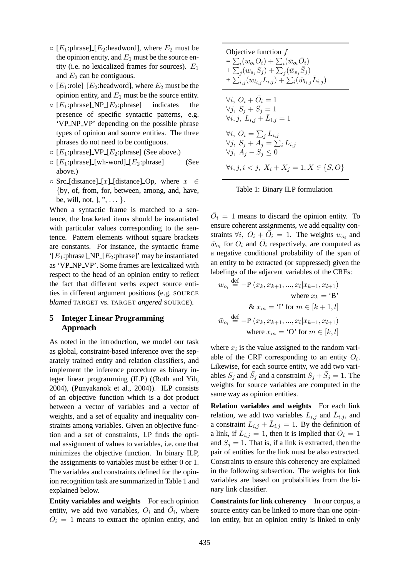- $\circ$  [E<sub>1</sub>:phrase] [E<sub>2</sub>:headword], where E<sub>2</sub> must be the opinion entity, and  $E_1$  must be the source entity (i.e. no lexicalized frames for sources).  $E_1$ and  $E_2$  can be contiguous.
- $\circ$  [E<sub>1</sub>:role] [E<sub>2</sub>:headword], where E<sub>2</sub> must be the opinion entity, and  $E_1$  must be the source entity.
- $\circ$  [E<sub>1</sub>:phrase] NP [E<sub>2</sub>:phrase] indicates the presence of specific syntactic patterns, e.g. 'VP NP VP' depending on the possible phrase types of opinion and source entities. The three phrases do not need to be contiguous.
- $\circ$  [E<sub>1</sub>:phrase] VP [E<sub>2</sub>:phrase] (See above.)
- $\circ$  [ $E_1$ :phrase] [wh-word] [ $E_2$ :phrase] (See above.)
- Src\_[distance]\_[x]\_[distance]\_Op, where  $x \in$ {by, of, from, for, between, among, and, have, be, will, not,  $],$  ", ... }.

When a syntactic frame is matched to a sentence, the bracketed items should be instantiated with particular values corresponding to the sentence. Pattern elements without square brackets are constants. For instance, the syntactic frame ' $[E_1:phrase]$  NP  $[E_2:phrase]$ ' may be instantiated as 'VP NP VP'. Some frames are lexicalized with respect to the head of an opinion entity to reflect the fact that different verbs expect source entities in different argument positions (e.g. SOURCE *blamed* TARGET vs. TARGET *angered* SOURCE).

# **5 Integer Linear Programming Approach**

As noted in the introduction, we model our task as global, constraint-based inference over the separately trained entity and relation classifiers, and implement the inference procedure as binary integer linear programming (ILP) ((Roth and Yih, 2004), (Punyakanok et al., 2004)). ILP consists of an objective function which is a dot product between a vector of variables and a vector of weights, and a set of equality and inequality constraints among variables. Given an objective function and a set of constraints, LP finds the optimal assignment of values to variables, i.e. one that minimizes the objective function. In binary ILP, the assignments to variables must be either 0 or 1. The variables and constraints defined for the opinion recognition task are summarized in Table 1 and explained below.

**Entity variables and weights** For each opinion entity, we add two variables,  $O_i$  and  $\overline{O}_i$ , where  $O_i = 1$  means to extract the opinion entity, and

$$
\begin{aligned}\n\text{Objective function } & f \\
&= \sum_{i} (w_{o_i} O_i) + \sum_{i} (\bar{w}_{o_i} \bar{O}_i) \\
&+ \sum_{j} (w_{s_j} S_j) + \sum_{j} (\bar{w}_{s_j} \bar{S}_j) \\
&+ \sum_{i,j} (w_{l_{i,j}} L_{i,j}) + \sum_{i} (\bar{w}_{l_{i,j}} \bar{L}_{i,j}) \\
\text{V} & i, O_i + \bar{O}_i = 1 \\
\text{V} & j, S_j + \bar{S}_j = 1 \\
\text{V} & i, j, L_{i,j} + \bar{L}_{i,j} = 1 \\
\text{V} & i, O_i = \sum_j L_{i,j} \\
\text{V} & j, S_j + A_j = \sum_i L_{i,j} \\
\text{V} & j, A_j - S_j \leq 0 \\
\text{V} & i, j, i < j, X_i + X_j = 1, X \in \{S, O\}\n\end{aligned}
$$



 $\overline{O}_i = 1$  means to discard the opinion entity. To ensure coherent assignments, we add equality constraints  $\forall i, O_i + \overline{O}_i = 1$ . The weights  $w_{o_i}$  and  $\bar{w}_{o_i}$  for  $O_i$  and  $\bar{O}_i$  respectively, are computed as a negative conditional probability of the span of an entity to be extracted (or suppressed) given the labelings of the adjacent variables of the CRFs:

$$
w_{o_i} \stackrel{\text{def}}{=} -\mathbf{P}\left(x_k, x_{k+1}, \dots, x_l | x_{k-1}, x_{l+1}\right)
$$
  
where  $x_k = \mathbf{B}$ '  

$$
\& x_m = \mathbf{T} \text{ for } m \in [k+1, l]
$$

$$
\bar{w}_{o_i} \stackrel{\text{def}}{=} -\mathbf{P}\left(x_k, x_{k+1}, \dots, x_l | x_{k-1}, x_{l+1}\right)
$$
  
where  $x_m = \mathbf{O} \text{ for } m \in [k, l]$ 

where  $x_i$  is the value assigned to the random variable of the CRF corresponding to an entity  $O_i$ . Likewise, for each source entity, we add two variables  $S_j$  and  $\bar{S}_j$  and a constraint  $S_j + \bar{S}_j = 1$ . The weights for source variables are computed in the same way as opinion entities.

**Relation variables and weights** For each link relation, we add two variables  $L_{i,j}$  and  $\overline{L}_{i,j}$ , and a constraint  $L_{i,j} + \bar{L}_{i,j} = 1$ . By the definition of a link, if  $L_{i,j} = 1$ , then it is implied that  $O_i = 1$ and  $S_j = 1$ . That is, if a link is extracted, then the pair of entities for the link must be also extracted. Constraints to ensure this coherency are explained in the following subsection. The weights for link variables are based on probabilities from the binary link classifier.

**Constraints for link coherency** In our corpus, a source entity can be linked to more than one opinion entity, but an opinion entity is linked to only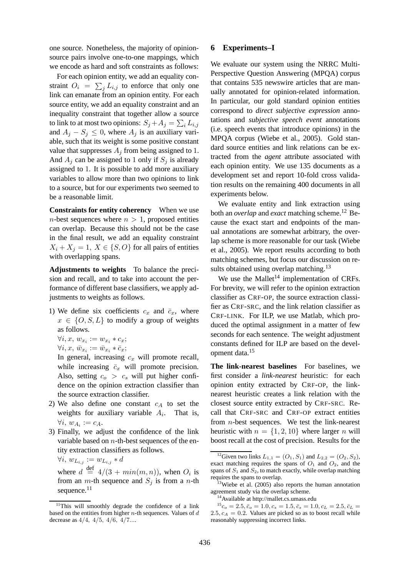one source. Nonetheless, the majority of opinionsource pairs involve one-to-one mappings, which we encode as hard and soft constraints as follows:

For each opinion entity, we add an equality constraint  $O_i = \sum_j L_{i,j}$  to enforce that only one link can emanate from an opinion entity. For each source entity, we add an equality constraint and an inequality constraint that together allow a source to link to at most two opinions:  $S_j\!+\!A_j=\sum_iL_{i,j}$ and  $A_j - S_j \leq 0$ , where  $A_j$  is an auxiliary variable, such that its weight is some positive constant value that suppresses  $A_i$  from being assigned to 1. And  $A_i$  can be assigned to 1 only if  $S_i$  is already assigned to 1. It is possible to add more auxiliary variables to allow more than two opinions to link to a source, but for our experiments two seemed to be a reasonable limit.

**Constraints for entity coherency** When we use *n*-best sequences where  $n > 1$ , proposed entities can overlap. Because this should not be the case in the final result, we add an equality constraint  $X_i + X_j = 1, X \in \{S, O\}$  for all pairs of entities with overlapping spans.

**Adjustments to weights** To balance the precision and recall, and to take into account the performance of different base classifiers, we apply adjustments to weights as follows.

- 1) We define six coefficients  $c_x$  and  $\bar{c}_x$ , where  $x \in \{O, S, L\}$  to modify a group of weights as follows.
	- $\forall i, x, w_{x_i} := w_{x_i} * c_x;$
	- $\forall i, x, \ \overline{w}_{x_i} := \overline{w}_{x_i} * \overline{c}_x;$

In general, increasing  $c_x$  will promote recall, while increasing  $\bar{c}_x$  will promote precision. Also, setting  $c_o > c_s$  will put higher confidence on the opinion extraction classifier than the source extraction classifier.

- 2) We also define one constant  $c_A$  to set the weights for auxiliary variable  $A_i$ . That is,  $\forall i, w_{A_i} := c_A.$
- 3) Finally, we adjust the confidence of the link variable based on  $n$ -th-best sequences of the entity extraction classifiers as follows.

 $\forall i, w_{L_{i,j}} := w_{L_{i,j}} * d$ 

where  $d \stackrel{\text{def}}{=} 4/(3 + min(m, n))$ , when  $O_i$  is from an  $m$ -th sequence and  $S_i$  is from a n-th sequence.<sup>11</sup>

## **6 Experiments–I**

We evaluate our system using the NRRC Multi-Perspective Question Answering (MPQA) corpus that contains 535 newswire articles that are manually annotated for opinion-related information. In particular, our gold standard opinion entities correspond to *direct subjective expression* annotations and *subjective speech event* annotations (i.e. speech events that introduce opinions) in the MPQA corpus (Wiebe et al., 2005). Gold standard source entities and link relations can be extracted from the *agent* attribute associated with each opinion entity. We use 135 documents as a development set and report 10-fold cross validation results on the remaining 400 documents in all experiments below.

We evaluate entity and link extraction using both an *overlap* and *exact* matching scheme.<sup>12</sup> Because the exact start and endpoints of the manual annotations are somewhat arbitrary, the overlap scheme is more reasonable for our task (Wiebe et al., 2005). We report results according to both matching schemes, but focus our discussion on results obtained using overlap matching.<sup>13</sup>

We use the Mallet<sup>14</sup> implementation of CRFs. For brevity, we will refer to the opinion extraction classifier as CRF-OP, the source extraction classifier as CRF-SRC, and the link relation classifier as CRF-LINK. For ILP, we use Matlab, which produced the optimal assignment in a matter of few seconds for each sentence. The weight adjustment constants defined for ILP are based on the development data.<sup>15</sup>

**The link-nearest baselines** For baselines, we first consider a *link-nearest* heuristic: for each opinion entity extracted by CRF-OP, the linknearest heuristic creates a link relation with the closest source entity extracted by CRF-SRC. Recall that CRF-SRC and CRF-OP extract entities from n-best sequences. We test the link-nearest heuristic with  $n = \{1, 2, 10\}$  where larger n will boost recall at the cost of precision. Results for the

 $11$ This will smoothly degrade the confidence of a link based on the entities from higher  $n$ -th sequences. Values of  $d$ decrease as 4/4, 4/5, 4/6, 4/7....

<sup>&</sup>lt;sup>12</sup>Given two links  $L_{1,1} = (O_1, S_1)$  and  $L_{2,2} = (O_2, S_2)$ , exact matching requires the spans of  $O_1$  and  $O_2$ , and the spans of  $S_1$  and  $S_2$ , to match exactly, while overlap matching requires the spans to overlap.

<sup>&</sup>lt;sup>13</sup>Wiebe et al. (2005) also reports the human annotation agreement study via the overlap scheme.

<sup>&</sup>lt;sup>14</sup>Available at http://mallet.cs.umass.edu

 $1^{15}c_o = 2.5, \bar{c}_o = 1.0, c_s = 1.5, \bar{c}_s = 1.0, c_L = 2.5, \bar{c}_L =$ 2.5,  $c_A = 0.2$ . Values are picked so as to boost recall while reasonably suppressing incorrect links.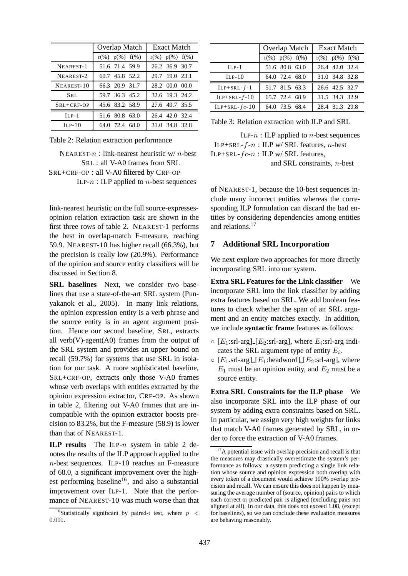|              | Overlap Match           | Exact Match         |  |  |
|--------------|-------------------------|---------------------|--|--|
|              | $r(\%)$ $p(\%)$ $f(\%)$ | $r(\%) p(\%) f(\%)$ |  |  |
| NEAREST-1    | 51.6 71.4 59.9          | 26.2 36.9 30.7      |  |  |
| NEAREST-2    | 60.7 45.8 52.2          | 29.7 19.0 23.1      |  |  |
| NEAREST-10   | 66.3 20.9 31.7          | 28.2 00.0 00.0      |  |  |
| SRL          | 59.7 36.3 45.2          | 32.6 19.3 24.2      |  |  |
| $SRL+CRF-OP$ | 45.6 83.2 58.9          | 27.6 49.7 35.5      |  |  |
| $ILP-1$      | 51.6 80.8 63.0          | 26.4 42.0 32.4      |  |  |
| $ILP-10$     | 64.0 72.4<br>68.0       | 31.0 34.8 32.8      |  |  |

Table 2: Relation extraction performance

```
NEAREST-n: link-nearest heuristic w/ n-best
          SRL : all V-A0 frames from SRL
SRL+CRF-OP : all V-A0 filtered by CRF-OP
```
ILP- $n$ : ILP applied to  $n$ -best sequences

link-nearest heuristic on the full source-expressesopinion relation extraction task are shown in the first three rows of table 2. NEAREST-1 performs the best in overlap-match F-measure, reaching 59.9. NEAREST-10 has higher recall (66.3%), but the precision is really low (20.9%). Performance of the opinion and source entity classifiers will be discussed in Section 8.

**SRL baselines** Next, we consider two baselines that use a state-of-the-art SRL system (Punyakanok et al., 2005). In many link relations, the opinion expression entity is a verb phrase and the source entity is in an agent argument position. Hence our second baseline, SRL, extracts all verb $(V)$ -agent $(A0)$  frames from the output of the SRL system and provides an upper bound on recall (59.7%) for systems that use SRL in isolation for our task. A more sophisticated baseline, SRL+CRF-OP, extracts only those V-A0 frames whose verb overlaps with entities extracted by the opinion expression extractor, CRF-OP. As shown in table 2, filtering out V-A0 frames that are incompatible with the opinion extractor boosts precision to 83.2%, but the F-measure (58.9) is lower than that of NEAREST-1.

**ILP results** The ILP-n system in table 2 denotes the results of the ILP approach applied to the n-best sequences. ILP-10 reaches an F-measure of 68.0, a significant improvement over the highest performing baseline<sup>16</sup>, and also a substantial improvement over ILP-1. Note that the performance of NEAREST-10 was much worse than that

|                 | Overlap Match       | <b>Exact Match</b>  |  |  |
|-----------------|---------------------|---------------------|--|--|
|                 | $r(\%) p(\%) f(\%)$ | $r(\%) p(\%) f(\%)$ |  |  |
| $ILP-1$         | 51.6 80.8 63.0      | 26.4 42.0 32.4      |  |  |
| $ILP-10$        | 64.0 72.4 68.0      | 31.0 34.8 32.8      |  |  |
| $ILP+SRL-f-1$   | 51.7 81.5 63.3      | 26.6 42.5 32.7      |  |  |
| $ILP+SRL-f-10$  | 65.7 72.4 68.9      | 31.5 34.3 32.9      |  |  |
| $ILP+SRL-fc-10$ | 64.0 73.5 68.4      | 28.4 31.3 29.8      |  |  |

Table 3: Relation extraction with ILP and SRL

ILP- $n$ : ILP applied to  $n$ -best sequences ILP+SRL- $f$ - $n$ : ILP w/ SRL features,  $n$ -best ILP+SRL- $fc-n$ : ILP w/ SRL features, and SRL constraints, n-best

of NEAREST-1, because the 10-best sequences include many incorrect entities whereas the corresponding ILP formulation can discard the bad entities by considering dependencies among entities and relations.<sup>17</sup>

## **7 Additional SRL Incorporation**

We next explore two approaches for more directly incorporating SRL into our system.

**Extra SRL Features for the Link classifier** We incorporate SRL into the link classifier by adding extra features based on SRL. We add boolean features to check whether the span of an SRL argument and an entity matches exactly. In addition, we include **syntactic frame** features as follows:

- $\circ$  [ $E_1$ :srl-arg] [ $E_2$ :srl-arg], where  $E_i$ :srl-arg indicates the SRL argument type of entity  $E_i$ .
- $\circ$  [E<sub>1</sub>.srl-arg] [E<sub>1</sub>:headword] [E<sub>2</sub>:srl-arg], where  $E_1$  must be an opinion entity, and  $E_2$  must be a source entity.

**Extra SRL Constraints for the ILP phase** We also incorporate SRL into the ILP phase of our system by adding extra constraints based on SRL. In particular, we assign very high weights for links that match V-A0 frames generated by SRL, in order to force the extraction of V-A0 frames.

<sup>&</sup>lt;sup>16</sup>Statistically significant by paired-t test, where  $p \leq$ 0.001.

<sup>&</sup>lt;sup>17</sup>A potential issue with overlap precision and recall is that the measures may drastically overestimate the system's performance as follows: a system predicting a single link relation whose source and opinion expression both overlap with every token of a document would achieve 100% overlap precision and recall. We can ensure this does not happen by measuring the average number of (source, opinion) pairs to which each correct or predicted pair is aligned (excluding pairs not aligned at all). In our data, this does not exceed 1.08, (except for baselines), so we can conclude these evaluation measures are behaving reasonably.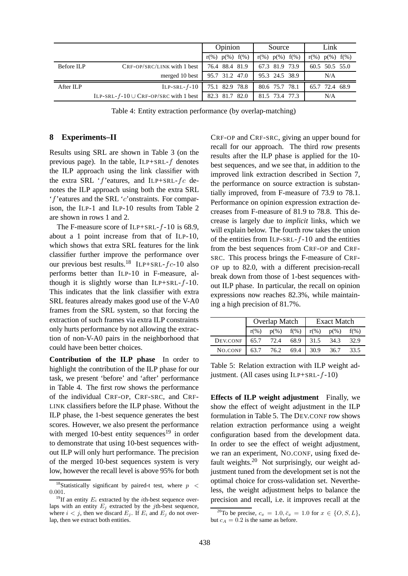|            |                                                | Opinion             | Source              | Link                |  |
|------------|------------------------------------------------|---------------------|---------------------|---------------------|--|
|            |                                                | $r(\%) p(\%) f(\%)$ | $r(\%) p(\%) f(\%)$ | $r(\%) p(\%) f(\%)$ |  |
| Before ILP | $CRF-OP/SRC/LINK$ with 1 best                  | 76.4 88.4 81.9      | 67.3 81.9 73.9      | 60.5 50.5 55.0      |  |
|            | merged 10 best                                 | 95.7 31.2 47.0      | 95.3 24.5 38.9      | N/A                 |  |
| After ILP  | $ILP-SRL-f-10$                                 | 75.1 82.9 78.8      | 80.6 75.7 78.1      | 65.7 72.4 68.9      |  |
|            | ILP-SRL- $f$ -10 $\cup$ CRF-OP/SRC with 1 best | 82.3 81.7 82.0      | 81.5 73.4 77.3      | N/A                 |  |

Table 4: Entity extraction performance (by overlap-matching)

### **8 Experiments–II**

Results using SRL are shown in Table 3 (on the previous page). In the table,  $ILP+SRL-f$  denotes the ILP approach using the link classifier with the extra SRL 'f'eatures, and ILP+SRL- $fc$  denotes the ILP approach using both the extra SRL 'f'eatures and the SRL 'c'onstraints. For comparison, the ILP-1 and ILP-10 results from Table 2 are shown in rows 1 and 2.

The F-measure score of ILP+SRL- $f-10$  is 68.9, about a 1 point increase from that of ILP-10, which shows that extra SRL features for the link classifier further improve the performance over our previous best results.<sup>18</sup> ILP+SRL- $fc-10$  also performs better than ILP-10 in F-measure, although it is slightly worse than  $ILP+SRL-f-10$ . This indicates that the link classifier with extra SRL features already makes good use of the V-A0 frames from the SRL system, so that forcing the extraction of such frames via extra ILP constraints only hurts performance by not allowing the extraction of non-V-A0 pairs in the neighborhood that could have been better choices.

**Contribution of the ILP phase** In order to highlight the contribution of the ILP phase for our task, we present 'before' and 'after' performance in Table 4. The first row shows the performance of the individual CRF-OP, CRF-SRC, and CRF-LINK classifiers before the ILP phase. Without the ILP phase, the 1-best sequence generates the best scores. However, we also present the performance with merged 10-best entity sequences<sup>19</sup> in order to demonstrate that using 10-best sequences without ILP will only hurt performance. The precision of the merged 10-best sequences system is very low, however the recall level is above 95% for both CRF-OP and CRF-SRC, giving an upper bound for recall for our approach. The third row presents results after the ILP phase is applied for the 10 best sequences, and we see that, in addition to the improved link extraction described in Section 7, the performance on source extraction is substantially improved, from F-measure of 73.9 to 78.1. Performance on opinion expression extraction decreases from F-measure of 81.9 to 78.8. This decrease is largely due to *implicit* links, which we will explain below. The fourth row takes the union of the entities from ILP-SRL- $f-10$  and the entities from the best sequences from CRF-OP and CRF-SRC. This process brings the F-measure of CRF-OP up to 82.0, with a different precision-recall break down from those of 1-best sequences without ILP phase. In particular, the recall on opinion expressions now reaches 82.3%, while maintaining a high precision of 81.7%.

|          | Overlap Match |                 |      | <b>Exact Match</b> |         |         |
|----------|---------------|-----------------|------|--------------------|---------|---------|
|          | $r(\%)$       | $p(\%)$ $f(\%)$ |      | $r(\%)$            | $p(\%)$ | $f(\%)$ |
| DEV.CONF | 65.7          | 72.4            | 68.9 | 31.5               | 34.3    | 32.9    |
| NO.CONF  | 63.7          | 76.2            | 69.4 | 30.9               | 36.7    | 33.5    |

Table 5: Relation extraction with ILP weight adjustment. (All cases using ILP+SRL- $f$ -10)

**Effects of ILP weight adjustment** Finally, we show the effect of weight adjustment in the ILP formulation in Table 5. The DEV.CONF row shows relation extraction performance using a weight configuration based from the development data. In order to see the effect of weight adjustment, we ran an experiment, NO.CONF, using fixed default weights.<sup>20</sup> Not surprisingly, our weight adjustment tuned from the development set is not the optimal choice for cross-validation set. Nevertheless, the weight adjustment helps to balance the precision and recall, i.e. it improves recall at the

<sup>&</sup>lt;sup>18</sup>Statistically significant by paired-t test, where  $p \leq$ 0.001.

<sup>&</sup>lt;sup>19</sup>If an entity  $E_i$  extracted by the *i*th-best sequence overlaps with an entity  $E_i$  extracted by the *j*th-best sequence, where  $i < j$ , then we discard  $E_i$ . If  $E_i$  and  $E_j$  do not overlap, then we extract both entities.

<sup>&</sup>lt;sup>20</sup>To be precise,  $c_x = 1.0, \bar{c}_x = 1.0$  for  $x \in \{O, S, L\},\$ but  $c_A = 0.2$  is the same as before.